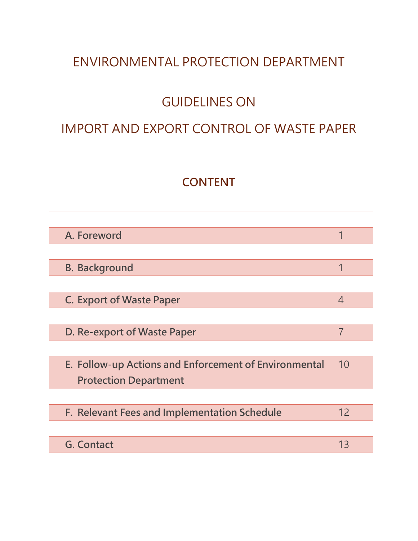# ENVIRONMENTAL PROTECTION DEPARTMENT

# GUIDELINES ON

### IMPORT AND EXPORT CONTROL OF WASTE PAPER

### **CONTENT**

| A. Foreword                                           | 1  |
|-------------------------------------------------------|----|
|                                                       |    |
| <b>B. Background</b>                                  | 1  |
|                                                       |    |
| <b>C. Export of Waste Paper</b>                       | 4  |
|                                                       |    |
| D. Re-export of Waste Paper                           | 7  |
|                                                       |    |
| E. Follow-up Actions and Enforcement of Environmental | 10 |
| <b>Protection Department</b>                          |    |
|                                                       |    |
| F. Relevant Fees and Implementation Schedule          | 12 |
|                                                       |    |
| <b>G. Contact</b>                                     | 13 |
|                                                       |    |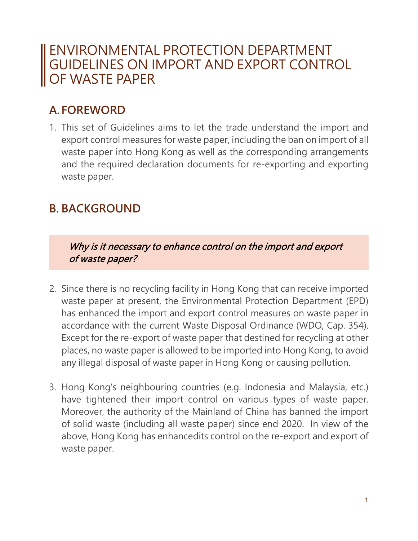## ENVIRONMENTAL PROTECTION DEPARTMENT GUIDELINES ON IMPORT AND EXPORT CONTROL OF WASTE PAPER

## **A. FOREWORD**

1. This set of Guidelines aims to let the trade understand the import and export control measures for waste paper, including the ban on import of all waste paper into Hong Kong as well as the corresponding arrangements and the required declaration documents for re-exporting and exporting waste paper.

### **B. BACKGROUND**

Why is it necessary to enhance control on the import and export of waste paper?

- 2. Since there is no recycling facility in Hong Kong that can receive imported waste paper at present, the Environmental Protection Department (EPD) has enhanced the import and export control measures on waste paper in accordance with the current Waste Disposal Ordinance (WDO, Cap. 354). Except for the re-export of waste paper that destined for recycling at other places, no waste paper is allowed to be imported into Hong Kong, to avoid any illegal disposal of waste paper in Hong Kong or causing pollution.
- 3. Hong Kong's neighbouring countries (e.g. Indonesia and Malaysia, etc.) have tightened their import control on various types of waste paper. Moreover, the authority of the Mainland of China has banned the import of solid waste (including all waste paper) since end 2020. In view of the above, Hong Kong has enhancedits control on the re-export and export of waste paper.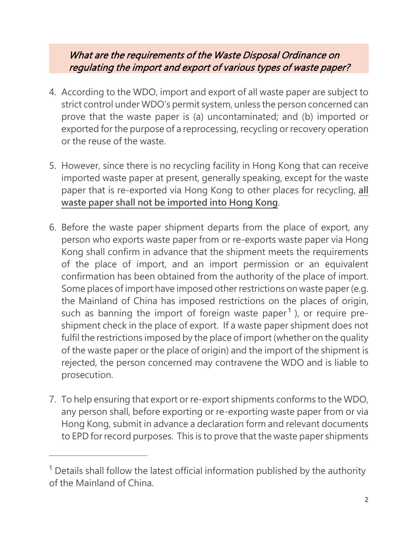#### What are the requirements of the Waste Disposal Ordinance on regulating the import and export of various types of waste paper?

- 4. According to the WDO, import and export of all waste paper are subject to strict control under WDO's permit system, unless the person concerned can prove that the waste paper is (a) uncontaminated; and (b) imported or exported for the purpose of a reprocessing, recycling or recovery operation or the reuse of the waste.
- 5. However, since there is no recycling facility in Hong Kong that can receive imported waste paper at present, generally speaking, except for the waste paper that is re-exported via Hong Kong to other places for recycling, **all waste paper shall not be imported into Hong Kong**.
- 6. Before the waste paper shipment departs from the place of export, any person who exports waste paper from or re-exports waste paper via Hong Kong shall confirm in advance that the shipment meets the requirements of the place of import, and an import permission or an equivalent confirmation has been obtained from the authority of the place of import. Some places of import have imposed other restrictions on waste paper (e.g. the Mainland of China has imposed restrictions on the places of origin, such as banning the import of foreign waste paper<sup>[1](#page-2-0)</sup>), or require preshipment check in the place of export. If a waste paper shipment does not fulfil the restrictions imposed by the place of import (whether on the quality of the waste paper or the place of origin) and the import of the shipment is rejected, the person concerned may contravene the WDO and is liable to prosecution.
- 7. To help ensuring that export or re-export shipments conforms to the WDO, any person shall, before exporting or re-exporting waste paper from or via Hong Kong, submit in advance a declaration form and relevant documents to EPD for record purposes. This is to prove that the waste paper shipments

 $\overline{a}$ 

<span id="page-2-0"></span><sup>&</sup>lt;sup>1</sup> Details shall follow the latest official information published by the authority of the Mainland of China.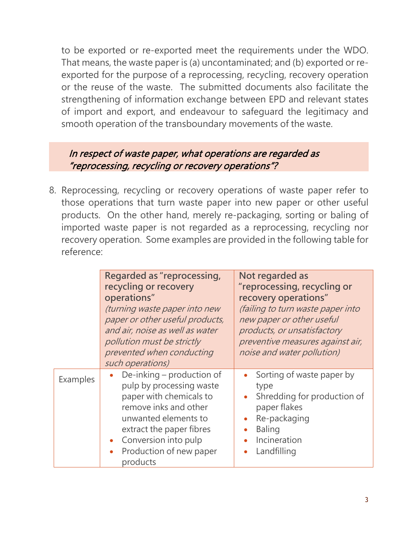to be exported or re-exported meet the requirements under the WDO. That means, the waste paper is (a) uncontaminated; and (b) exported or reexported for the purpose of a reprocessing, recycling, recovery operation or the reuse of the waste. The submitted documents also facilitate the strengthening of information exchange between EPD and relevant states of import and export, and endeavour to safeguard the legitimacy and smooth operation of the transboundary movements of the waste.

#### In respect of waste paper, what operations are regarded as "reprocessing, recycling or recovery operations"?

8. Reprocessing, recycling or recovery operations of waste paper refer to those operations that turn waste paper into new paper or other useful products. On the other hand, merely re-packaging, sorting or baling of imported waste paper is not regarded as a reprocessing, recycling nor recovery operation. Some examples are provided in the following table for reference:

|          | Regarded as "reprocessing,<br>recycling or recovery<br>operations"<br>(turning waste paper into new<br>paper or other useful products,<br>and air, noise as well as water<br>pollution must be strictly<br>prevented when conducting<br>such operations) | Not regarded as<br>"reprocessing, recycling or<br>recovery operations"<br>(failing to turn waste paper into<br>new paper or other useful<br>products, or unsatisfactory<br>preventive measures against air,<br>noise and water pollution) |
|----------|----------------------------------------------------------------------------------------------------------------------------------------------------------------------------------------------------------------------------------------------------------|-------------------------------------------------------------------------------------------------------------------------------------------------------------------------------------------------------------------------------------------|
| Examples | • De-inking – production of<br>pulp by processing waste<br>paper with chemicals to<br>remove inks and other<br>unwanted elements to<br>extract the paper fibres<br>Conversion into pulp<br>Production of new paper<br>$\bullet$<br>products              | Sorting of waste paper by<br>type<br>Shredding for production of<br>paper flakes<br>Re-packaging<br><b>Baling</b><br>Incineration<br>Landfilling                                                                                          |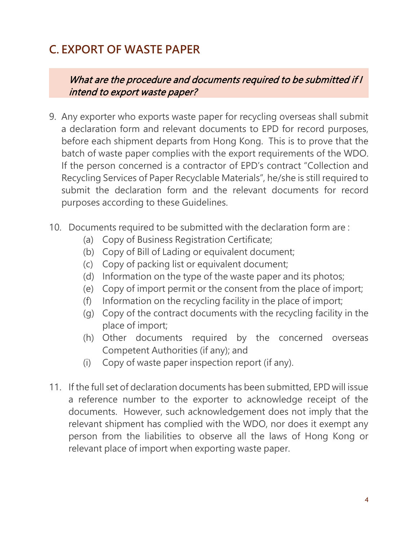## **C. EXPORT OF WASTE PAPER**

What are the procedure and documents required to be submitted if I intend to export waste paper?

- 9. Any exporter who exports waste paper for recycling overseas shall submit a declaration form and relevant documents to EPD for record purposes, before each shipment departs from Hong Kong. This is to prove that the batch of waste paper complies with the export requirements of the WDO. If the person concerned is a contractor of EPD's contract "Collection and Recycling Services of Paper Recyclable Materials", he/she is still required to submit the declaration form and the relevant documents for record purposes according to these Guidelines.
- 10. Documents required to be submitted with the declaration form are :
	- (a) Copy of Business Registration Certificate;
	- (b) Copy of Bill of Lading or equivalent document;
	- (c) Copy of packing list or equivalent document;
	- (d) Information on the type of the waste paper and its photos;
	- (e) Copy of import permit or the consent from the place of import;
	- (f) Information on the recycling facility in the place of import;
	- (g) Copy of the contract documents with the recycling facility in the place of import;
	- (h) Other documents required by the concerned overseas Competent Authorities (if any); and
	- (i) Copy of waste paper inspection report (if any).
- 11. If the full set of declaration documents has been submitted, EPD will issue a reference number to the exporter to acknowledge receipt of the documents. However, such acknowledgement does not imply that the relevant shipment has complied with the WDO, nor does it exempt any person from the liabilities to observe all the laws of Hong Kong or relevant place of import when exporting waste paper.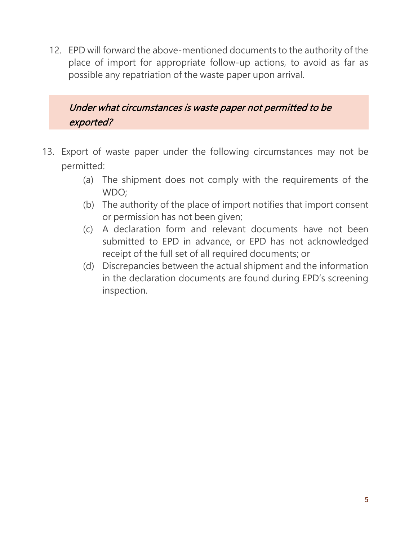12. EPD will forward the above-mentioned documents to the authority of the place of import for appropriate follow-up actions, to avoid as far as possible any repatriation of the waste paper upon arrival.

Under what circumstances is waste paper not permitted to be exported?

- 13. Export of waste paper under the following circumstances may not be permitted:
	- (a) The shipment does not comply with the requirements of the WDO;
	- (b) The authority of the place of import notifies that import consent or permission has not been given;
	- (c) A declaration form and relevant documents have not been submitted to EPD in advance, or EPD has not acknowledged receipt of the full set of all required documents; or
	- (d) Discrepancies between the actual shipment and the information in the declaration documents are found during EPD's screening inspection.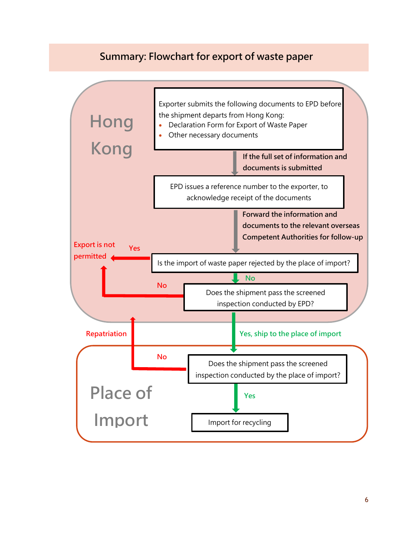#### **Summary: Flowchart for export of waste paper**

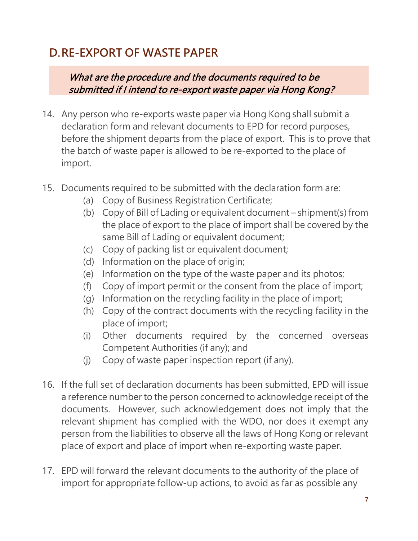## **D.RE-EXPORT OF WASTE PAPER**

What are the procedure and the documents required to be submitted if I intend to re-export waste paper via Hong Kong?

- 14. Any person who re-exports waste paper via Hong Kong shall submit a declaration form and relevant documents to EPD for record purposes, before the shipment departs from the place of export. This is to prove that the batch of waste paper is allowed to be re-exported to the place of import.
- 15. Documents required to be submitted with the declaration form are:
	- (a) Copy of Business Registration Certificate;
	- (b) Copy of Bill of Lading or equivalent document shipment(s) from the place of export to the place of import shall be covered by the same Bill of Lading or equivalent document;
	- (c) Copy of packing list or equivalent document;
	- (d) Information on the place of origin;
	- (e) Information on the type of the waste paper and its photos;
	- (f) Copy of import permit or the consent from the place of import;
	- (g) Information on the recycling facility in the place of import;
	- (h) Copy of the contract documents with the recycling facility in the place of import;
	- (i) Other documents required by the concerned overseas Competent Authorities (if any); and
	- (j) Copy of waste paper inspection report (if any).
- 16. If the full set of declaration documents has been submitted, EPD will issue a reference number to the person concerned to acknowledge receipt of the documents. However, such acknowledgement does not imply that the relevant shipment has complied with the WDO, nor does it exempt any person from the liabilities to observe all the laws of Hong Kong or relevant place of export and place of import when re-exporting waste paper.
- 17. EPD will forward the relevant documents to the authority of the place of import for appropriate follow-up actions, to avoid as far as possible any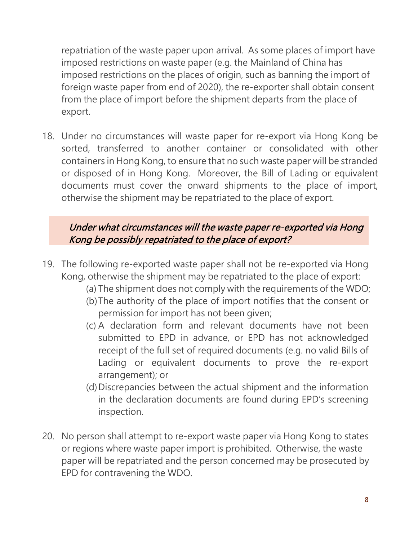repatriation of the waste paper upon arrival. As some places of import have imposed restrictions on waste paper (e.g. the Mainland of China has imposed restrictions on the places of origin, such as banning the import of foreign waste paper from end of 2020), the re-exporter shall obtain consent from the place of import before the shipment departs from the place of export.

18. Under no circumstances will waste paper for re-export via Hong Kong be sorted, transferred to another container or consolidated with other containers in Hong Kong, to ensure that no such waste paper will be stranded or disposed of in Hong Kong. Moreover, the Bill of Lading or equivalent documents must cover the onward shipments to the place of import, otherwise the shipment may be repatriated to the place of export.

#### Under what circumstances will the waste paper re-exported via Hong Kong be possibly repatriated to the place of export?

- 19. The following re-exported waste paper shall not be re-exported via Hong Kong, otherwise the shipment may be repatriated to the place of export:
	- (a) The shipment does not comply with the requirements of the WDO;
	- (b)The authority of the place of import notifies that the consent or permission for import has not been given;
	- (c) A declaration form and relevant documents have not been submitted to EPD in advance, or EPD has not acknowledged receipt of the full set of required documents (e.g. no valid Bills of Lading or equivalent documents to prove the re-export arrangement); or
	- (d)Discrepancies between the actual shipment and the information in the declaration documents are found during EPD's screening inspection.
- 20. No person shall attempt to re-export waste paper via Hong Kong to states or regions where waste paper import is prohibited. Otherwise, the waste paper will be repatriated and the person concerned may be prosecuted by EPD for contravening the WDO.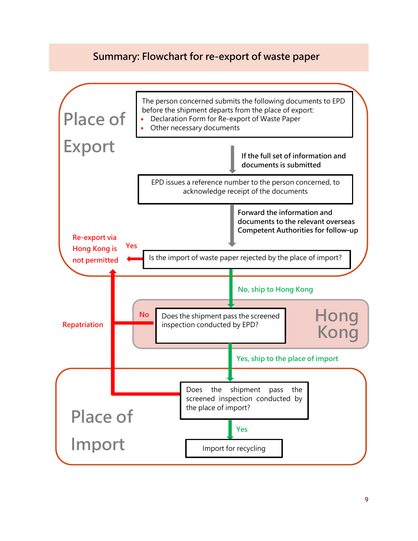#### **Summary: Flowchart for re-export of waste paper**

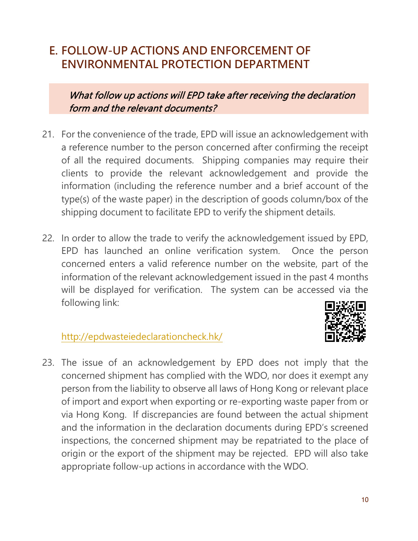### **E. FOLLOW-UP ACTIONS AND ENFORCEMENT OF ENVIRONMENTAL PROTECTION DEPARTMENT**

What follow up actions will EPD take after receiving the declaration form and the relevant documents?

- 21. For the convenience of the trade, EPD will issue an acknowledgement with a reference number to the person concerned after confirming the receipt of all the required documents. Shipping companies may require their clients to provide the relevant acknowledgement and provide the information (including the reference number and a brief account of the type(s) of the waste paper) in the description of goods column/box of the shipping document to facilitate EPD to verify the shipment details.
- 22. In order to allow the trade to verify the acknowledgement issued by EPD, EPD has launched an online verification system. Once the person concerned enters a valid reference number on the website, part of the information of the relevant acknowledgement issued in the past 4 months will be displayed for verification. The system can be accessed via the following link:



#### <http://epdwasteiedeclarationcheck.hk/>

23. The issue of an acknowledgement by EPD does not imply that the concerned shipment has complied with the WDO, nor does it exempt any person from the liability to observe all laws of Hong Kong or relevant place of import and export when exporting or re-exporting waste paper from or via Hong Kong. If discrepancies are found between the actual shipment and the information in the declaration documents during EPD's screened inspections, the concerned shipment may be repatriated to the place of origin or the export of the shipment may be rejected. EPD will also take appropriate follow-up actions in accordance with the WDO.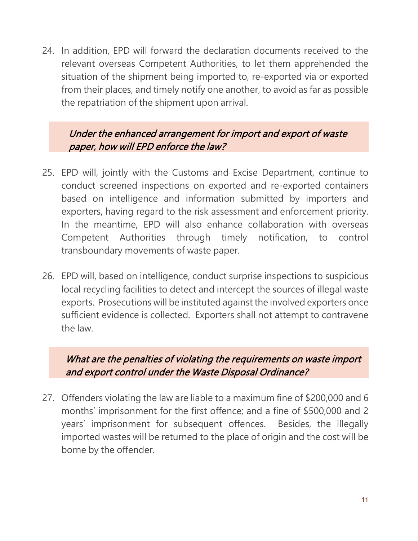24. In addition, EPD will forward the declaration documents received to the relevant overseas Competent Authorities, to let them apprehended the situation of the shipment being imported to, re-exported via or exported from their places, and timely notify one another, to avoid as far as possible the repatriation of the shipment upon arrival.

Under the enhanced arrangement for import and export of waste paper, how will EPD enforce the law?

- 25. EPD will, jointly with the Customs and Excise Department, continue to conduct screened inspections on exported and re-exported containers based on intelligence and information submitted by importers and exporters, having regard to the risk assessment and enforcement priority. In the meantime, EPD will also enhance collaboration with overseas Competent Authorities through timely notification, to control transboundary movements of waste paper.
- 26. EPD will, based on intelligence, conduct surprise inspections to suspicious local recycling facilities to detect and intercept the sources of illegal waste exports. Prosecutions will be instituted against the involved exporters once sufficient evidence is collected. Exporters shall not attempt to contravene the law.

What are the penalties of violating the requirements on waste import and export control under the Waste Disposal Ordinance?

27. Offenders violating the law are liable to a maximum fine of \$200,000 and 6 months' imprisonment for the first offence; and a fine of \$500,000 and 2 years' imprisonment for subsequent offences. Besides, the illegally imported wastes will be returned to the place of origin and the cost will be borne by the offender.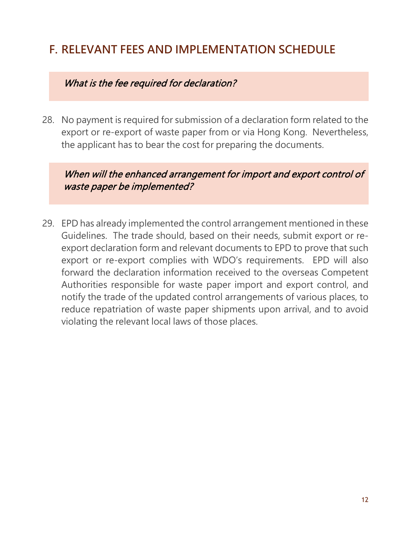## **F. RELEVANT FEES AND IMPLEMENTATION SCHEDULE**

#### What is the fee required for declaration?

28. No payment is required for submission of a declaration form related to the export or re-export of waste paper from or via Hong Kong. Nevertheless, the applicant has to bear the cost for preparing the documents.

When will the enhanced arrangement for import and export control of waste paper be implemented?

29. EPD has already implemented the control arrangement mentioned in these Guidelines. The trade should, based on their needs, submit export or reexport declaration form and relevant documents to EPD to prove that such export or re-export complies with WDO's requirements. EPD will also forward the declaration information received to the overseas Competent Authorities responsible for waste paper import and export control, and notify the trade of the updated control arrangements of various places, to reduce repatriation of waste paper shipments upon arrival, and to avoid violating the relevant local laws of those places.